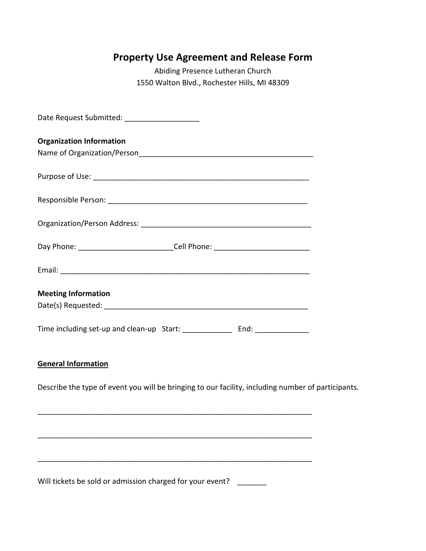## **Property Use Agreement and Release Form**

Abiding Presence Lutheran Church 1550 Walton Blvd., Rochester Hills, MI 48309

| Date Request Submitted: _____________________                                                      |  |
|----------------------------------------------------------------------------------------------------|--|
| <b>Organization Information</b>                                                                    |  |
|                                                                                                    |  |
|                                                                                                    |  |
|                                                                                                    |  |
| Day Phone: ________________________________Cell Phone: _________________________                   |  |
|                                                                                                    |  |
| <b>Meeting Information</b>                                                                         |  |
| Time including set-up and clean-up Start: _________________ End: _______________                   |  |
| <b>General Information</b>                                                                         |  |
| Describe the type of event you will be bringing to our facility, including number of participants. |  |
|                                                                                                    |  |
|                                                                                                    |  |
|                                                                                                    |  |

Will tickets be sold or admission charged for your event? \_\_\_\_\_\_\_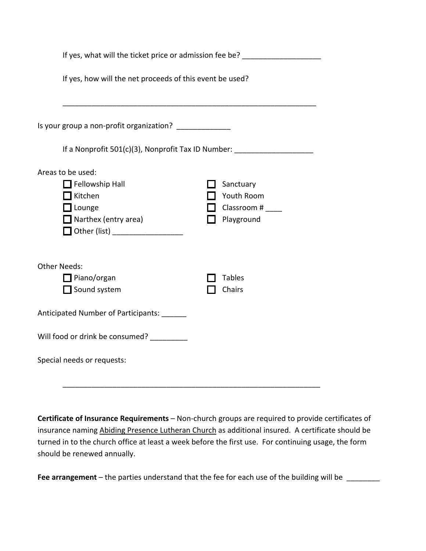|                                                                                                               | If yes, what will the ticket price or admission fee be? ________________________ |
|---------------------------------------------------------------------------------------------------------------|----------------------------------------------------------------------------------|
| If yes, how will the net proceeds of this event be used?                                                      |                                                                                  |
| Is your group a non-profit organization? _____________                                                        |                                                                                  |
|                                                                                                               | If a Nonprofit 501(c)(3), Nonprofit Tax ID Number: _____________________________ |
| Areas to be used:<br>$\Box$ Fellowship Hall<br>$\Box$ Kitchen<br>$\Box$ Lounge<br>$\Box$ Narthex (entry area) | Sanctuary<br>Youth Room<br>Classroom # _____<br>Playground                       |
| <b>Other Needs:</b><br>$\Box$ Piano/organ<br>Sound system                                                     | <b>Tables</b><br>Chairs                                                          |
| Anticipated Number of Participants: ______                                                                    |                                                                                  |
| Will food or drink be consumed? _________                                                                     |                                                                                  |
| Special needs or requests:                                                                                    |                                                                                  |
|                                                                                                               |                                                                                  |

**Certificate of Insurance Requirements** – Non-church groups are required to provide certificates of insurance naming Abiding Presence Lutheran Church as additional insured. A certificate should be turned in to the church office at least a week before the first use. For continuing usage, the form should be renewed annually.

Fee arrangement - the parties understand that the fee for each use of the building will be \_\_\_\_\_\_\_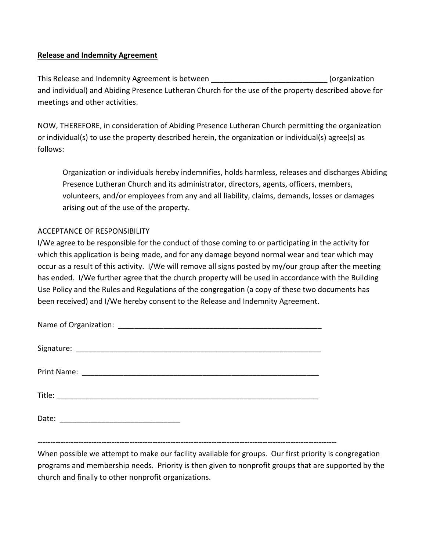## **Release and Indemnity Agreement**

This Release and Indemnity Agreement is between (organization) and individual) and Abiding Presence Lutheran Church for the use of the property described above for meetings and other activities.

NOW, THEREFORE, in consideration of Abiding Presence Lutheran Church permitting the organization or individual(s) to use the property described herein, the organization or individual(s) agree(s) as follows:

Organization or individuals hereby indemnifies, holds harmless, releases and discharges Abiding Presence Lutheran Church and its administrator, directors, agents, officers, members, volunteers, and/or employees from any and all liability, claims, demands, losses or damages arising out of the use of the property.

## ACCEPTANCE OF RESPONSIBILITY

I/We agree to be responsible for the conduct of those coming to or participating in the activity for which this application is being made, and for any damage beyond normal wear and tear which may occur as a result of this activity. I/We will remove all signs posted by my/our group after the meeting has ended. I/We further agree that the church property will be used in accordance with the Building Use Policy and the Rules and Regulations of the congregation (a copy of these two documents has been received) and I/We hereby consent to the Release and Indemnity Agreement.

| Print Name: |
|-------------|
|             |
| Date:       |

-‐-‐-‐-‐-‐-‐-‐-‐-‐-‐-‐-‐-‐-‐-‐-‐-‐-‐-‐-‐-‐-‐-‐-‐-‐-‐-‐-‐-‐-‐-‐-‐-‐-‐-‐-‐-‐-‐-‐-‐-‐-‐-‐-‐-‐-‐-‐-‐-‐-‐-‐-‐-‐-‐-‐-‐-‐-‐-‐-‐-‐-‐-‐-‐-‐-‐-‐-‐-‐-‐-‐-‐-‐-‐-‐-‐-‐-‐-‐-‐-‐-‐-‐-‐-‐-‐-‐-‐-‐-‐-‐-‐-‐-‐-‐-‐-‐-‐-‐-‐-‐-‐-‐-‐-‐-‐-‐-‐-‐-‐-‐-‐-‐-‐-‐-‐-‐

When possible we attempt to make our facility available for groups. Our first priority is congregation programs and membership needs. Priority is then given to nonprofit groups that are supported by the church and finally to other nonprofit organizations.